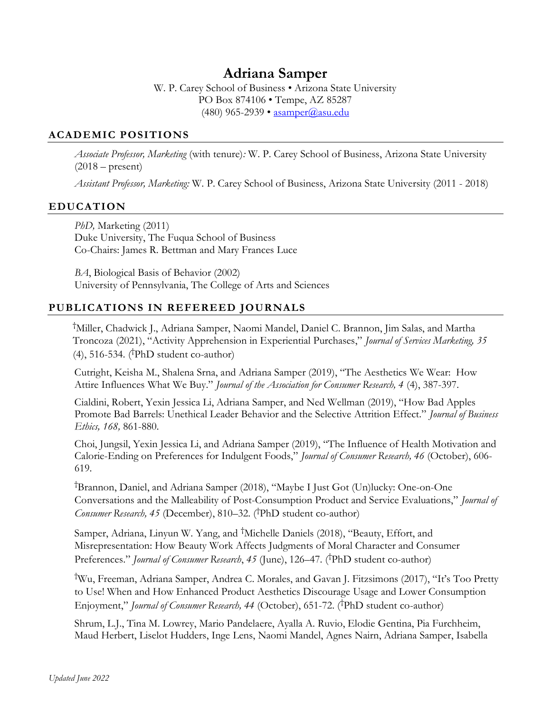# Adriana Samper

W. P. Carey School of Business • Arizona State University PO Box 874106 • Tempe, AZ 85287 (480) 965-2939 • asamper@asu.edu

### ACADEMIC POSITIONS

Associate Professor, Marketing (with tenure): W. P. Carey School of Business, Arizona State University  $(2018 - present)$ 

Assistant Professor, Marketing: W. P. Carey School of Business, Arizona State University (2011 - 2018)

### EDUCATION

PhD, Marketing (2011) Duke University, The Fuqua School of Business Co-Chairs: James R. Bettman and Mary Frances Luce

BA, Biological Basis of Behavior (2002) University of Pennsylvania, The College of Arts and Sciences

# PUBLICATIONS IN REFEREED JOURNALS

†Miller, Chadwick J., Adriana Samper, Naomi Mandel, Daniel C. Brannon, Jim Salas, and Martha Troncoza (2021), "Activity Apprehension in Experiential Purchases," Journal of Services Marketing, 35 (4), 516-534. (†PhD student co-author)

 Cutright, Keisha M., Shalena Srna, and Adriana Samper (2019), "The Aesthetics We Wear: How Attire Influences What We Buy." Journal of the Association for Consumer Research, 4 (4), 387-397.

 Cialdini, Robert, Yexin Jessica Li, Adriana Samper, and Ned Wellman (2019), "How Bad Apples Promote Bad Barrels: Unethical Leader Behavior and the Selective Attrition Effect." Journal of Business Ethics, 168, 861-880.

 Choi, Jungsil, Yexin Jessica Li, and Adriana Samper (2019), "The Influence of Health Motivation and Calorie-Ending on Preferences for Indulgent Foods," Journal of Consumer Research, 46 (October), 606- 619.

†Brannon, Daniel, and Adriana Samper (2018), "Maybe I Just Got (Un)lucky: One-on-One Conversations and the Malleability of Post-Consumption Product and Service Evaluations," Journal of Consumer Research, 45 (December), 810–32. (†PhD student co-author)

 Samper, Adriana, Linyun W. Yang, and †Michelle Daniels (2018), "Beauty, Effort, and Misrepresentation: How Beauty Work Affects Judgments of Moral Character and Consumer Preferences." Journal of Consumer Research, 45 (June), 126–47. (<sup>†</sup>PhD student co-author)

†Wu, Freeman, Adriana Samper, Andrea C. Morales, and Gavan J. Fitzsimons (2017), "It's Too Pretty to Use! When and How Enhanced Product Aesthetics Discourage Usage and Lower Consumption Enjoyment," Journal of Consumer Research, 44 (October), 651-72. (<sup>†</sup>PhD student co-author)

 Shrum, L.J., Tina M. Lowrey, Mario Pandelaere, Ayalla A. Ruvio, Elodie Gentina, Pia Furchheim, Maud Herbert, Liselot Hudders, Inge Lens, Naomi Mandel, Agnes Nairn, Adriana Samper, Isabella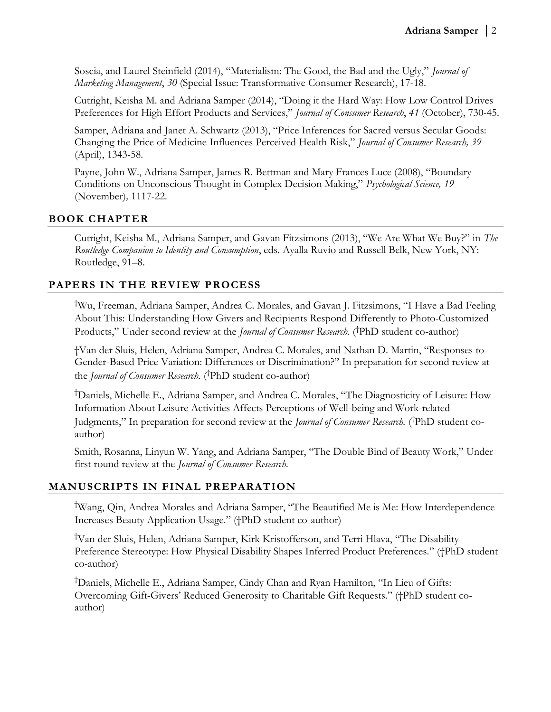Soscia, and Laurel Steinfield (2014), "Materialism: The Good, the Bad and the Ugly," Journal of Marketing Management, 30 (Special Issue: Transformative Consumer Research), 17-18.

 Cutright, Keisha M. and Adriana Samper (2014), "Doing it the Hard Way: How Low Control Drives Preferences for High Effort Products and Services," Journal of Consumer Research, 41 (October), 730-45.

 Samper, Adriana and Janet A. Schwartz (2013), "Price Inferences for Sacred versus Secular Goods: Changing the Price of Medicine Influences Perceived Health Risk," Journal of Consumer Research, 39 (April), 1343-58.

 Payne, John W., Adriana Samper, James R. Bettman and Mary Frances Luce (2008), "Boundary Conditions on Unconscious Thought in Complex Decision Making," Psychological Science, 19 (November), 1117-22.

# BOOK CHAPTER

 Cutright, Keisha M., Adriana Samper, and Gavan Fitzsimons (2013), "We Are What We Buy?" in The Routledge Companion to Identity and Consumption, eds. Ayalla Ruvio and Russell Belk, New York, NY: Routledge, 91–8.

# PAPERS IN THE REVIEW PROCESS

†Wu, Freeman, Adriana Samper, Andrea C. Morales, and Gavan J. Fitzsimons, "I Have a Bad Feeling About This: Understanding How Givers and Recipients Respond Differently to Photo-Customized Products," Under second review at the *Journal of Consumer Research*. (<sup>†</sup>PhD student co-author)

†Van der Sluis, Helen, Adriana Samper, Andrea C. Morales, and Nathan D. Martin, "Responses to Gender-Based Price Variation: Differences or Discrimination?" In preparation for second review at the *Journal of Consumer Research*. (<sup>†</sup>PhD student co-author)

†Daniels, Michelle E., Adriana Samper, and Andrea C. Morales, "The Diagnosticity of Leisure: How Information About Leisure Activities Affects Perceptions of Well-being and Work-related Judgments," In preparation for second review at the *Journal of Consumer Research*. (<sup>†</sup>PhD student coauthor)

 Smith, Rosanna, Linyun W. Yang, and Adriana Samper, "The Double Bind of Beauty Work," Under first round review at the Journal of Consumer Research.

# MANUSCRIPTS IN FINAL PREPARATION

†Wang, Qin, Andrea Morales and Adriana Samper, "The Beautified Me is Me: How Interdependence Increases Beauty Application Usage." (†PhD student co-author)

†Van der Sluis, Helen, Adriana Samper, Kirk Kristofferson, and Terri Hlava, "The Disability Preference Stereotype: How Physical Disability Shapes Inferred Product Preferences." (†PhD student co-author)

†Daniels, Michelle E., Adriana Samper, Cindy Chan and Ryan Hamilton, "In Lieu of Gifts: Overcoming Gift-Givers' Reduced Generosity to Charitable Gift Requests." (†PhD student coauthor)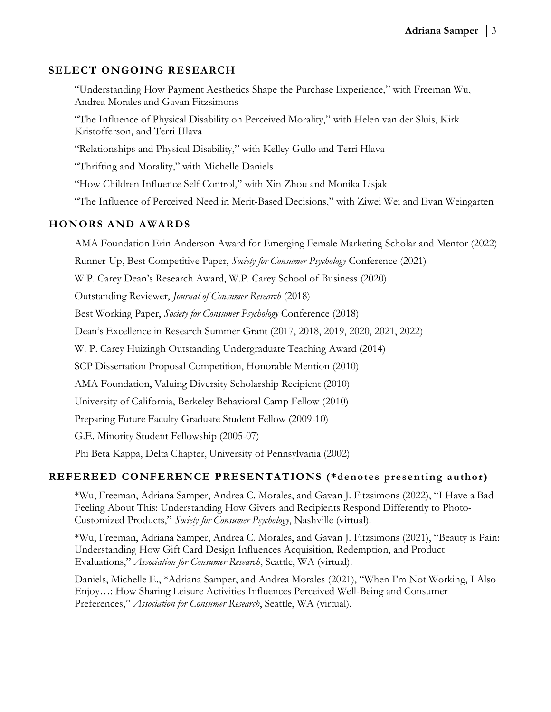# SELECT ONGOING RESEARCH

 "Understanding How Payment Aesthetics Shape the Purchase Experience," with Freeman Wu, Andrea Morales and Gavan Fitzsimons

"The Influence of Physical Disability on Perceived Morality," with Helen van der Sluis, Kirk Kristofferson, and Terri Hlava

"Relationships and Physical Disability," with Kelley Gullo and Terri Hlava

"Thrifting and Morality," with Michelle Daniels

"How Children Influence Self Control," with Xin Zhou and Monika Lisjak

"The Influence of Perceived Need in Merit-Based Decisions," with Ziwei Wei and Evan Weingarten

# HONORS AND AWARDS

AMA Foundation Erin Anderson Award for Emerging Female Marketing Scholar and Mentor (2022)

Runner-Up, Best Competitive Paper, Society for Consumer Psychology Conference (2021)

W.P. Carey Dean's Research Award, W.P. Carey School of Business (2020)

Outstanding Reviewer, Journal of Consumer Research (2018)

Best Working Paper, Society for Consumer Psychology Conference (2018)

Dean's Excellence in Research Summer Grant (2017, 2018, 2019, 2020, 2021, 2022)

W. P. Carey Huizingh Outstanding Undergraduate Teaching Award (2014)

SCP Dissertation Proposal Competition, Honorable Mention (2010)

AMA Foundation, Valuing Diversity Scholarship Recipient (2010)

University of California, Berkeley Behavioral Camp Fellow (2010)

Preparing Future Faculty Graduate Student Fellow (2009-10)

G.E. Minority Student Fellowship (2005-07)

Phi Beta Kappa, Delta Chapter, University of Pennsylvania (2002)

# REFEREED CONFERENCE PRESENTATIONS (\*denotes presenting author)

\*Wu, Freeman, Adriana Samper, Andrea C. Morales, and Gavan J. Fitzsimons (2022), "I Have a Bad Feeling About This: Understanding How Givers and Recipients Respond Differently to Photo-Customized Products," Society for Consumer Psychology, Nashville (virtual).

\*Wu, Freeman, Adriana Samper, Andrea C. Morales, and Gavan J. Fitzsimons (2021), "Beauty is Pain: Understanding How Gift Card Design Influences Acquisition, Redemption, and Product Evaluations," Association for Consumer Research, Seattle, WA (virtual).

Daniels, Michelle E., \*Adriana Samper, and Andrea Morales (2021), "When I'm Not Working, I Also Enjoy…: How Sharing Leisure Activities Influences Perceived Well-Being and Consumer Preferences," Association for Consumer Research, Seattle, WA (virtual).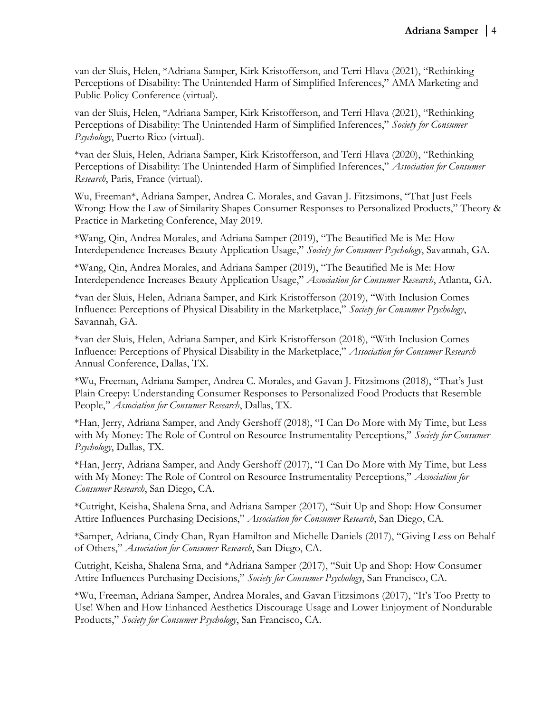van der Sluis, Helen, \*Adriana Samper, Kirk Kristofferson, and Terri Hlava (2021), "Rethinking Perceptions of Disability: The Unintended Harm of Simplified Inferences," AMA Marketing and Public Policy Conference (virtual).

van der Sluis, Helen, \*Adriana Samper, Kirk Kristofferson, and Terri Hlava (2021), "Rethinking Perceptions of Disability: The Unintended Harm of Simplified Inferences," Society for Consumer Psychology, Puerto Rico (virtual).

\*van der Sluis, Helen, Adriana Samper, Kirk Kristofferson, and Terri Hlava (2020), "Rethinking Perceptions of Disability: The Unintended Harm of Simplified Inferences," Association for Consumer Research, Paris, France (virtual).

Wu, Freeman\*, Adriana Samper, Andrea C. Morales, and Gavan J. Fitzsimons, "That Just Feels Wrong: How the Law of Similarity Shapes Consumer Responses to Personalized Products," Theory & Practice in Marketing Conference, May 2019.

\*Wang, Qin, Andrea Morales, and Adriana Samper (2019), "The Beautified Me is Me: How Interdependence Increases Beauty Application Usage," Society for Consumer Psychology, Savannah, GA.

\*Wang, Qin, Andrea Morales, and Adriana Samper (2019), "The Beautified Me is Me: How Interdependence Increases Beauty Application Usage," Association for Consumer Research, Atlanta, GA.

\*van der Sluis, Helen, Adriana Samper, and Kirk Kristofferson (2019), "With Inclusion Comes Influence: Perceptions of Physical Disability in the Marketplace," Society for Consumer Psychology, Savannah, GA.

\*van der Sluis, Helen, Adriana Samper, and Kirk Kristofferson (2018), "With Inclusion Comes Influence: Perceptions of Physical Disability in the Marketplace," Association for Consumer Research Annual Conference, Dallas, TX.

\*Wu, Freeman, Adriana Samper, Andrea C. Morales, and Gavan J. Fitzsimons (2018), "That's Just Plain Creepy: Understanding Consumer Responses to Personalized Food Products that Resemble People," Association for Consumer Research, Dallas, TX.

\*Han, Jerry, Adriana Samper, and Andy Gershoff (2018), "I Can Do More with My Time, but Less with My Money: The Role of Control on Resource Instrumentality Perceptions," Society for Consumer Psychology, Dallas, TX.

\*Han, Jerry, Adriana Samper, and Andy Gershoff (2017), "I Can Do More with My Time, but Less with My Money: The Role of Control on Resource Instrumentality Perceptions," Association for Consumer Research, San Diego, CA.

\*Cutright, Keisha, Shalena Srna, and Adriana Samper (2017), "Suit Up and Shop: How Consumer Attire Influences Purchasing Decisions," Association for Consumer Research, San Diego, CA.

\*Samper, Adriana, Cindy Chan, Ryan Hamilton and Michelle Daniels (2017), "Giving Less on Behalf of Others," Association for Consumer Research, San Diego, CA.

Cutright, Keisha, Shalena Srna, and \*Adriana Samper (2017), "Suit Up and Shop: How Consumer Attire Influences Purchasing Decisions," Society for Consumer Psychology, San Francisco, CA.

\*Wu, Freeman, Adriana Samper, Andrea Morales, and Gavan Fitzsimons (2017), "It's Too Pretty to Use! When and How Enhanced Aesthetics Discourage Usage and Lower Enjoyment of Nondurable Products," Society for Consumer Psychology, San Francisco, CA.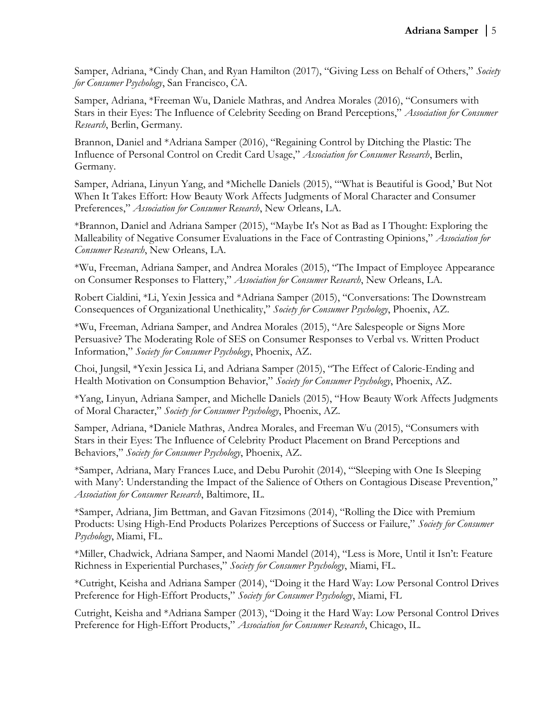Samper, Adriana, \*Cindy Chan, and Ryan Hamilton (2017), "Giving Less on Behalf of Others," Society for Consumer Psychology, San Francisco, CA.

Samper, Adriana, \*Freeman Wu, Daniele Mathras, and Andrea Morales (2016), "Consumers with Stars in their Eyes: The Influence of Celebrity Seeding on Brand Perceptions," Association for Consumer Research, Berlin, Germany.

Brannon, Daniel and \*Adriana Samper (2016), "Regaining Control by Ditching the Plastic: The Influence of Personal Control on Credit Card Usage," Association for Consumer Research, Berlin, Germany.

Samper, Adriana, Linyun Yang, and \*Michelle Daniels (2015), "'What is Beautiful is Good,' But Not When It Takes Effort: How Beauty Work Affects Judgments of Moral Character and Consumer Preferences," Association for Consumer Research, New Orleans, LA.

\*Brannon, Daniel and Adriana Samper (2015), "Maybe It's Not as Bad as I Thought: Exploring the Malleability of Negative Consumer Evaluations in the Face of Contrasting Opinions," Association for Consumer Research, New Orleans, LA.

\*Wu, Freeman, Adriana Samper, and Andrea Morales (2015), "The Impact of Employee Appearance on Consumer Responses to Flattery," Association for Consumer Research, New Orleans, LA.

Robert Cialdini, \*Li, Yexin Jessica and \*Adriana Samper (2015), "Conversations: The Downstream Consequences of Organizational Unethicality," Society for Consumer Psychology, Phoenix, AZ.

\*Wu, Freeman, Adriana Samper, and Andrea Morales (2015), "Are Salespeople or Signs More Persuasive? The Moderating Role of SES on Consumer Responses to Verbal vs. Written Product Information," Society for Consumer Psychology, Phoenix, AZ.

Choi, Jungsil, \*Yexin Jessica Li, and Adriana Samper (2015), "The Effect of Calorie-Ending and Health Motivation on Consumption Behavior," Society for Consumer Psychology, Phoenix, AZ.

\*Yang, Linyun, Adriana Samper, and Michelle Daniels (2015), "How Beauty Work Affects Judgments of Moral Character," Society for Consumer Psychology, Phoenix, AZ.

Samper, Adriana, \*Daniele Mathras, Andrea Morales, and Freeman Wu (2015), "Consumers with Stars in their Eyes: The Influence of Celebrity Product Placement on Brand Perceptions and Behaviors," Society for Consumer Psychology, Phoenix, AZ.

\*Samper, Adriana, Mary Frances Luce, and Debu Purohit (2014), "'Sleeping with One Is Sleeping with Many': Understanding the Impact of the Salience of Others on Contagious Disease Prevention," Association for Consumer Research, Baltimore, IL.

\*Samper, Adriana, Jim Bettman, and Gavan Fitzsimons (2014), "Rolling the Dice with Premium Products: Using High-End Products Polarizes Perceptions of Success or Failure," Society for Consumer Psychology, Miami, FL.

\*Miller, Chadwick, Adriana Samper, and Naomi Mandel (2014), "Less is More, Until it Isn't: Feature Richness in Experiential Purchases," Society for Consumer Psychology, Miami, FL.

\*Cutright, Keisha and Adriana Samper (2014), "Doing it the Hard Way: Low Personal Control Drives Preference for High-Effort Products," Society for Consumer Psychology, Miami, FL

Cutright, Keisha and \*Adriana Samper (2013), "Doing it the Hard Way: Low Personal Control Drives Preference for High-Effort Products," Association for Consumer Research, Chicago, IL.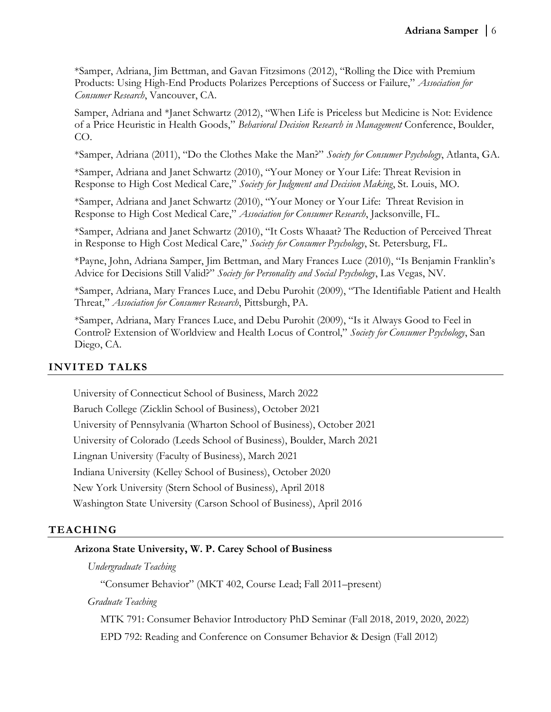\*Samper, Adriana, Jim Bettman, and Gavan Fitzsimons (2012), "Rolling the Dice with Premium Products: Using High-End Products Polarizes Perceptions of Success or Failure," Association for Consumer Research, Vancouver, CA.

Samper, Adriana and \*Janet Schwartz (2012), "When Life is Priceless but Medicine is Not: Evidence of a Price Heuristic in Health Goods," Behavioral Decision Research in Management Conference, Boulder, CO.

\*Samper, Adriana (2011), "Do the Clothes Make the Man?" Society for Consumer Psychology, Atlanta, GA.

\*Samper, Adriana and Janet Schwartz (2010), "Your Money or Your Life: Threat Revision in Response to High Cost Medical Care," Society for Judgment and Decision Making, St. Louis, MO.

\*Samper, Adriana and Janet Schwartz (2010), "Your Money or Your Life: Threat Revision in Response to High Cost Medical Care," Association for Consumer Research, Jacksonville, FL.

\*Samper, Adriana and Janet Schwartz (2010), "It Costs Whaaat? The Reduction of Perceived Threat in Response to High Cost Medical Care," Society for Consumer Psychology, St. Petersburg, FL.

\*Payne, John, Adriana Samper, Jim Bettman, and Mary Frances Luce (2010), "Is Benjamin Franklin's Advice for Decisions Still Valid?" Society for Personality and Social Psychology, Las Vegas, NV.

\*Samper, Adriana, Mary Frances Luce, and Debu Purohit (2009), "The Identifiable Patient and Health Threat," Association for Consumer Research, Pittsburgh, PA.

\*Samper, Adriana, Mary Frances Luce, and Debu Purohit (2009), "Is it Always Good to Feel in Control? Extension of Worldview and Health Locus of Control," Society for Consumer Psychology, San Diego, CA.

### INVITED TALKS

University of Connecticut School of Business, March 2022 Baruch College (Zicklin School of Business), October 2021 University of Pennsylvania (Wharton School of Business), October 2021 University of Colorado (Leeds School of Business), Boulder, March 2021 Lingnan University (Faculty of Business), March 2021 Indiana University (Kelley School of Business), October 2020 New York University (Stern School of Business), April 2018 Washington State University (Carson School of Business), April 2016

### TEACHING

### Arizona State University, W. P. Carey School of Business

Undergraduate Teaching

"Consumer Behavior" (MKT 402, Course Lead; Fall 2011–present)

Graduate Teaching

MTK 791: Consumer Behavior Introductory PhD Seminar (Fall 2018, 2019, 2020, 2022)

EPD 792: Reading and Conference on Consumer Behavior & Design (Fall 2012)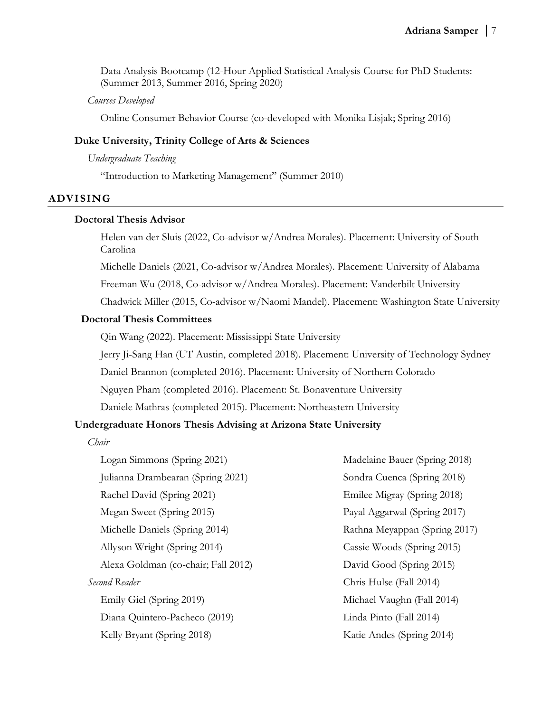Data Analysis Bootcamp (12-Hour Applied Statistical Analysis Course for PhD Students: (Summer 2013, Summer 2016, Spring 2020)

#### Courses Developed

Online Consumer Behavior Course (co-developed with Monika Lisjak; Spring 2016)

### Duke University, Trinity College of Arts & Sciences

Undergraduate Teaching

"Introduction to Marketing Management" (Summer 2010)

#### ADVISING

#### Doctoral Thesis Advisor

Helen van der Sluis (2022, Co-advisor w/Andrea Morales). Placement: University of South Carolina

Michelle Daniels (2021, Co-advisor w/Andrea Morales). Placement: University of Alabama

Freeman Wu (2018, Co-advisor w/Andrea Morales). Placement: Vanderbilt University

Chadwick Miller (2015, Co-advisor w/Naomi Mandel). Placement: Washington State University

#### Doctoral Thesis Committees

Qin Wang (2022). Placement: Mississippi State University

Jerry Ji-Sang Han (UT Austin, completed 2018). Placement: University of Technology Sydney

Daniel Brannon (completed 2016). Placement: University of Northern Colorado

Nguyen Pham (completed 2016). Placement: St. Bonaventure University

Daniele Mathras (completed 2015). Placement: Northeastern University

#### Undergraduate Honors Thesis Advising at Arizona State University

Chair

Logan Simmons (Spring 2021) Julianna Drambearan (Spring 2021) Rachel David (Spring 2021) Megan Sweet (Spring 2015) Michelle Daniels (Spring 2014) Allyson Wright (Spring 2014) Alexa Goldman (co-chair; Fall 2012) Second Reader Emily Giel (Spring 2019) Diana Quintero-Pacheco (2019) Kelly Bryant (Spring 2018)

Madelaine Bauer (Spring 2018) Sondra Cuenca (Spring 2018) Emilee Migray (Spring 2018) Payal Aggarwal (Spring 2017) Rathna Meyappan (Spring 2017) Cassie Woods (Spring 2015) David Good (Spring 2015) Chris Hulse (Fall 2014) Michael Vaughn (Fall 2014) Linda Pinto (Fall 2014) Katie Andes (Spring 2014)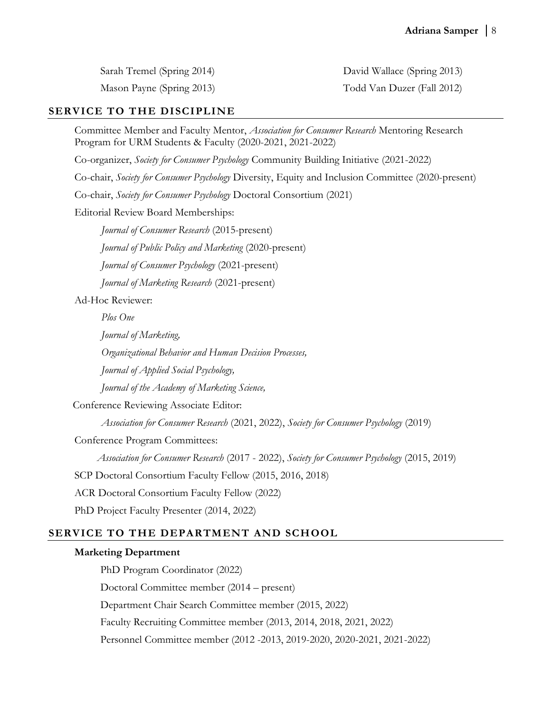Sarah Tremel (Spring 2014)

Mason Payne (Spring 2013)

David Wallace (Spring 2013) Todd Van Duzer (Fall 2012)

# SERVICE TO THE DISCIPLINE

Committee Member and Faculty Mentor, *Association for Consumer Research* Mentoring Research Program for URM Students & Faculty (2020-2021, 2021-2022)

Co-organizer, Society for Consumer Psychology Community Building Initiative (2021-2022)

Co-chair, Society for Consumer Psychology Diversity, Equity and Inclusion Committee (2020-present)

Co-chair, Society for Consumer Psychology Doctoral Consortium (2021)

Editorial Review Board Memberships:

Journal of Consumer Research (2015-present)

Journal of Public Policy and Marketing (2020-present)

Journal of Consumer Psychology (2021-present)

Journal of Marketing Research (2021-present)

Ad-Hoc Reviewer:

Plos One

Journal of Marketing,

Organizational Behavior and Human Decision Processes,

Journal of Applied Social Psychology,

Journal of the Academy of Marketing Science,

Conference Reviewing Associate Editor:

Association for Consumer Research (2021, 2022), Society for Consumer Psychology (2019)

Conference Program Committees:

Association for Consumer Research (2017 - 2022), Society for Consumer Psychology (2015, 2019)

SCP Doctoral Consortium Faculty Fellow (2015, 2016, 2018)

ACR Doctoral Consortium Faculty Fellow (2022)

PhD Project Faculty Presenter (2014, 2022)

# SERVICE TO THE DEPARTMENT AND SCHOOL

#### Marketing Department

PhD Program Coordinator (2022) Doctoral Committee member (2014 – present) Department Chair Search Committee member (2015, 2022) Faculty Recruiting Committee member (2013, 2014, 2018, 2021, 2022) Personnel Committee member (2012 -2013, 2019-2020, 2020-2021, 2021-2022)